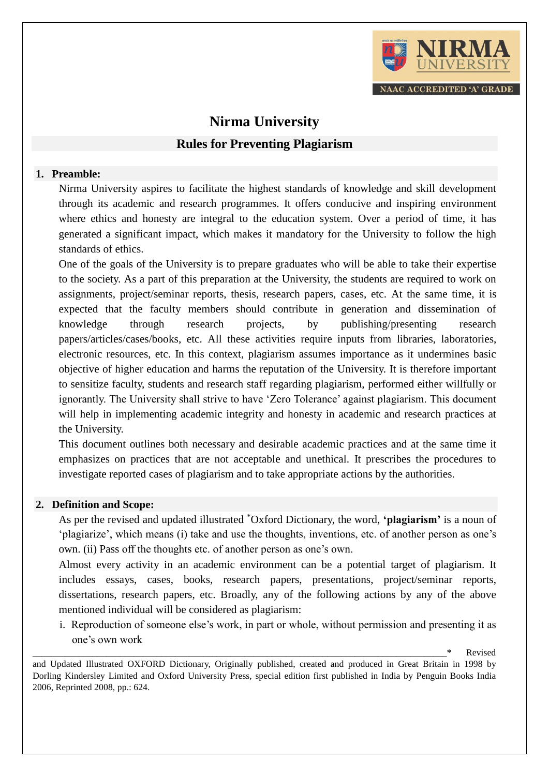

# **Nirma University Rules for Preventing Plagiarism**

## **1. Preamble:**

Nirma University aspires to facilitate the highest standards of knowledge and skill development through its academic and research programmes. It offers conducive and inspiring environment where ethics and honesty are integral to the education system. Over a period of time, it has generated a significant impact, which makes it mandatory for the University to follow the high standards of ethics.

One of the goals of the University is to prepare graduates who will be able to take their expertise to the society. As a part of this preparation at the University, the students are required to work on assignments, project/seminar reports, thesis, research papers, cases, etc. At the same time, it is expected that the faculty members should contribute in generation and dissemination of knowledge through research projects, by publishing/presenting research papers/articles/cases/books, etc. All these activities require inputs from libraries, laboratories, electronic resources, etc. In this context, plagiarism assumes importance as it undermines basic objective of higher education and harms the reputation of the University. It is therefore important to sensitize faculty, students and research staff regarding plagiarism, performed either willfully or ignorantly. The University shall strive to have 'Zero Tolerance' against plagiarism. This document will help in implementing academic integrity and honesty in academic and research practices at the University.

This document outlines both necessary and desirable academic practices and at the same time it emphasizes on practices that are not acceptable and unethical. It prescribes the procedures to investigate reported cases of plagiarism and to take appropriate actions by the authorities.

#### **2. Definition and Scope:**

As per the revised and updated illustrated \*Oxford Dictionary, the word, **'plagiarism'** is a noun of 'plagiarize', which means (i) take and use the thoughts, inventions, etc. of another person as one's own. (ii) Pass off the thoughts etc. of another person as one's own.

Almost every activity in an academic environment can be a potential target of plagiarism. It includes essays, cases, books, research papers, presentations, project/seminar reports, dissertations, research papers, etc. Broadly, any of the following actions by any of the above mentioned individual will be considered as plagiarism:

i. Reproduction of someone else's work, in part or whole, without permission and presenting it as one's own work

\_\_\_\_\_\_\_\_\_\_\_\_\_\_\_\_\_\_\_\_\_\_\_\_\_\_\_\_\_\_\_\_\_\_\_\_\_\_\_\_\_\_\_\_\_\_\_\_\_\_\_\_\_\_\_\_\_\_\_\_\_\_\_\_\_\_\_\_\_\_\_\_\_\_\_\_\_\_\_\_\_\_\_\_\_\_\_\_\_\_\* Revised

and Updated Illustrated OXFORD Dictionary, Originally published, created and produced in Great Britain in 1998 by Dorling Kindersley Limited and Oxford University Press, special edition first published in India by Penguin Books India 2006, Reprinted 2008, pp.: 624.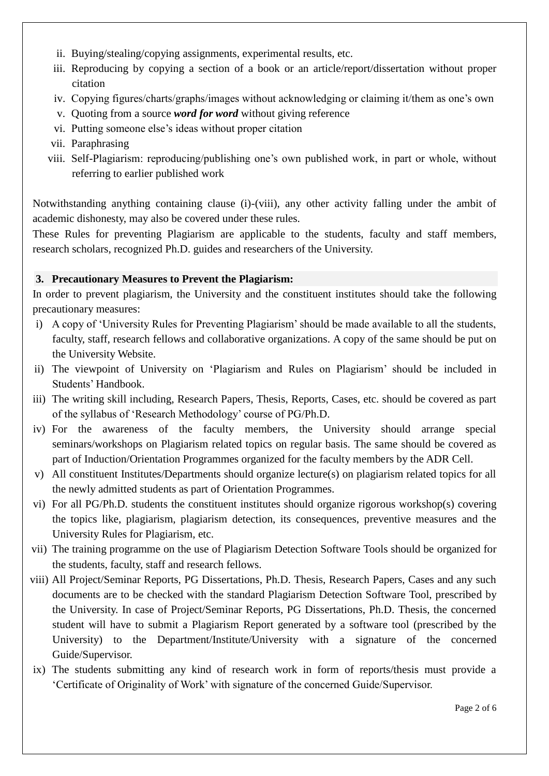- ii. Buying/stealing/copying assignments, experimental results, etc.
- iii. Reproducing by copying a section of a book or an article/report/dissertation without proper citation
- iv. Copying figures/charts/graphs/images without acknowledging or claiming it/them as one's own
- v. Quoting from a source *word for word* without giving reference
- vi. Putting someone else's ideas without proper citation
- vii. Paraphrasing
- viii. Self-Plagiarism: reproducing/publishing one's own published work, in part or whole, without referring to earlier published work

Notwithstanding anything containing clause (i)-(viii), any other activity falling under the ambit of academic dishonesty, may also be covered under these rules.

These Rules for preventing Plagiarism are applicable to the students, faculty and staff members, research scholars, recognized Ph.D. guides and researchers of the University.

# **3. Precautionary Measures to Prevent the Plagiarism:**

In order to prevent plagiarism, the University and the constituent institutes should take the following precautionary measures:

- i) A copy of 'University Rules for Preventing Plagiarism' should be made available to all the students, faculty, staff, research fellows and collaborative organizations. A copy of the same should be put on the University Website.
- ii) The viewpoint of University on 'Plagiarism and Rules on Plagiarism' should be included in Students' Handbook.
- iii) The writing skill including, Research Papers, Thesis, Reports, Cases, etc. should be covered as part of the syllabus of 'Research Methodology' course of PG/Ph.D.
- iv) For the awareness of the faculty members, the University should arrange special seminars/workshops on Plagiarism related topics on regular basis. The same should be covered as part of Induction/Orientation Programmes organized for the faculty members by the ADR Cell.
- v) All constituent Institutes/Departments should organize lecture(s) on plagiarism related topics for all the newly admitted students as part of Orientation Programmes.
- vi) For all PG/Ph.D. students the constituent institutes should organize rigorous workshop(s) covering the topics like, plagiarism, plagiarism detection, its consequences, preventive measures and the University Rules for Plagiarism, etc.
- vii) The training programme on the use of Plagiarism Detection Software Tools should be organized for the students, faculty, staff and research fellows.
- viii) All Project/Seminar Reports, PG Dissertations, Ph.D. Thesis, Research Papers, Cases and any such documents are to be checked with the standard Plagiarism Detection Software Tool, prescribed by the University. In case of Project/Seminar Reports, PG Dissertations, Ph.D. Thesis, the concerned student will have to submit a Plagiarism Report generated by a software tool (prescribed by the University) to the Department/Institute/University with a signature of the concerned Guide/Supervisor.
- ix) The students submitting any kind of research work in form of reports/thesis must provide a 'Certificate of Originality of Work' with signature of the concerned Guide/Supervisor.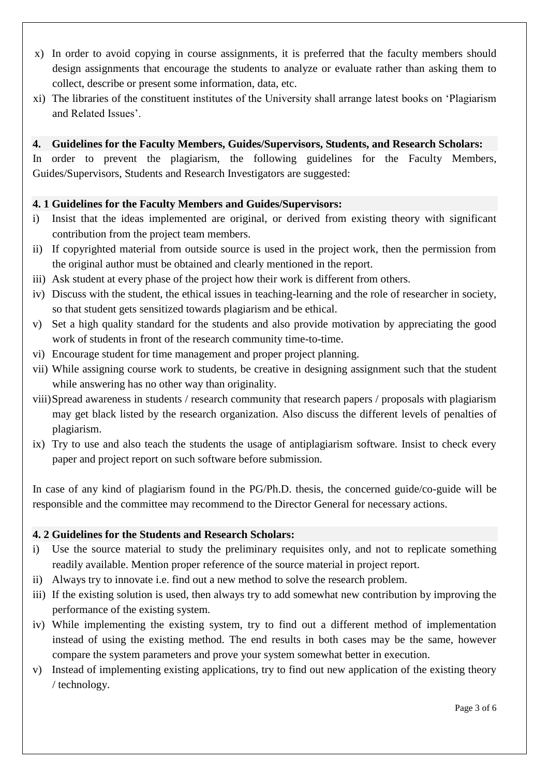- x) In order to avoid copying in course assignments, it is preferred that the faculty members should design assignments that encourage the students to analyze or evaluate rather than asking them to collect, describe or present some information, data, etc.
- xi) The libraries of the constituent institutes of the University shall arrange latest books on 'Plagiarism and Related Issues'.

# **4. Guidelines for the Faculty Members, Guides/Supervisors, Students, and Research Scholars:**

In order to prevent the plagiarism, the following guidelines for the Faculty Members, Guides/Supervisors, Students and Research Investigators are suggested:

# **4. 1 Guidelines for the Faculty Members and Guides/Supervisors:**

- i) Insist that the ideas implemented are original, or derived from existing theory with significant contribution from the project team members.
- ii) If copyrighted material from outside source is used in the project work, then the permission from the original author must be obtained and clearly mentioned in the report.
- iii) Ask student at every phase of the project how their work is different from others.
- iv) Discuss with the student, the ethical issues in teaching-learning and the role of researcher in society, so that student gets sensitized towards plagiarism and be ethical.
- v) Set a high quality standard for the students and also provide motivation by appreciating the good work of students in front of the research community time-to-time.
- vi) Encourage student for time management and proper project planning.
- vii) While assigning course work to students, be creative in designing assignment such that the student while answering has no other way than originality.
- viii)Spread awareness in students / research community that research papers / proposals with plagiarism may get black listed by the research organization. Also discuss the different levels of penalties of plagiarism.
- ix) Try to use and also teach the students the usage of antiplagiarism software. Insist to check every paper and project report on such software before submission.

In case of any kind of plagiarism found in the PG/Ph.D. thesis, the concerned guide/co-guide will be responsible and the committee may recommend to the Director General for necessary actions.

# **4. 2 Guidelines for the Students and Research Scholars:**

- i) Use the source material to study the preliminary requisites only, and not to replicate something readily available. Mention proper reference of the source material in project report.
- ii) Always try to innovate i.e. find out a new method to solve the research problem.
- iii) If the existing solution is used, then always try to add somewhat new contribution by improving the performance of the existing system.
- iv) While implementing the existing system, try to find out a different method of implementation instead of using the existing method. The end results in both cases may be the same, however compare the system parameters and prove your system somewhat better in execution.
- v) Instead of implementing existing applications, try to find out new application of the existing theory / technology.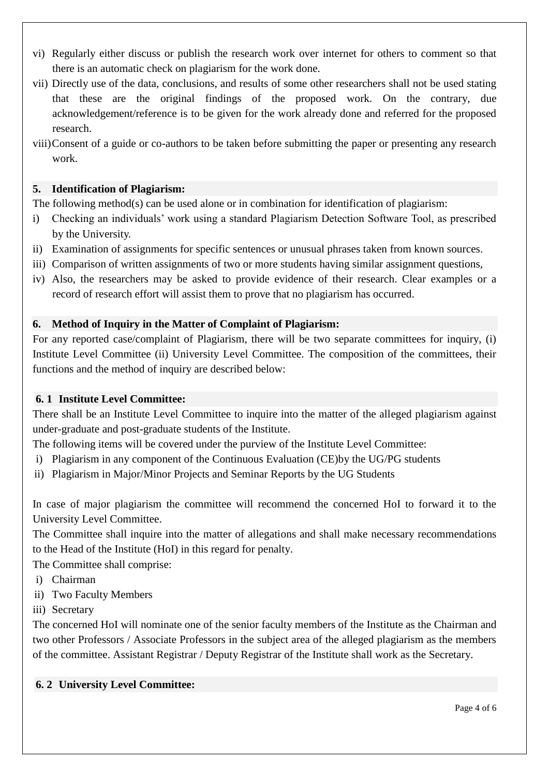- vi) Regularly either discuss or publish the research work over internet for others to comment so that there is an automatic check on plagiarism for the work done.
- vii) Directly use of the data, conclusions, and results of some other researchers shall not be used stating that these are the original findings of the proposed work. On the contrary, due acknowledgement/reference is to be given for the work already done and referred for the proposed research.
- viii)Consent of a guide or co-authors to be taken before submitting the paper or presenting any research work.

## **5. Identification of Plagiarism:**

The following method(s) can be used alone or in combination for identification of plagiarism:

- i) Checking an individuals' work using a standard Plagiarism Detection Software Tool, as prescribed by the University.
- ii) Examination of assignments for specific sentences or unusual phrases taken from known sources.
- iii) Comparison of written assignments of two or more students having similar assignment questions,
- iv) Also, the researchers may be asked to provide evidence of their research. Clear examples or a record of research effort will assist them to prove that no plagiarism has occurred.

#### **6. Method of Inquiry in the Matter of Complaint of Plagiarism:**

For any reported case/complaint of Plagiarism, there will be two separate committees for inquiry, (i) Institute Level Committee (ii) University Level Committee. The composition of the committees, their functions and the method of inquiry are described below:

#### **6. 1 Institute Level Committee:**

There shall be an Institute Level Committee to inquire into the matter of the alleged plagiarism against under-graduate and post-graduate students of the Institute.

The following items will be covered under the purview of the Institute Level Committee:

- i) Plagiarism in any component of the Continuous Evaluation (CE)by the UG/PG students
- ii) Plagiarism in Major/Minor Projects and Seminar Reports by the UG Students

In case of major plagiarism the committee will recommend the concerned HoI to forward it to the University Level Committee.

The Committee shall inquire into the matter of allegations and shall make necessary recommendations to the Head of the Institute (HoI) in this regard for penalty.

The Committee shall comprise:

- i) Chairman
- ii) Two Faculty Members
- iii) Secretary

The concerned HoI will nominate one of the senior faculty members of the Institute as the Chairman and two other Professors / Associate Professors in the subject area of the alleged plagiarism as the members of the committee. Assistant Registrar / Deputy Registrar of the Institute shall work as the Secretary.

#### **6. 2 University Level Committee:**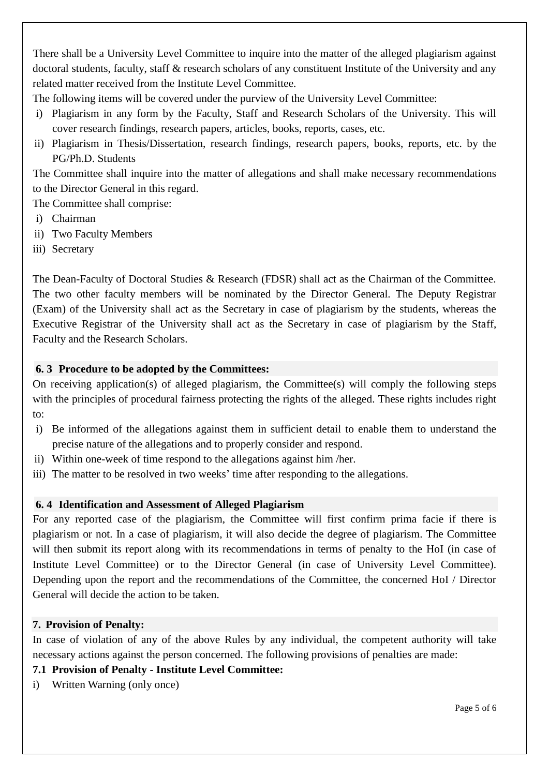There shall be a University Level Committee to inquire into the matter of the alleged plagiarism against doctoral students, faculty, staff & research scholars of any constituent Institute of the University and any related matter received from the Institute Level Committee.

The following items will be covered under the purview of the University Level Committee:

- i) Plagiarism in any form by the Faculty, Staff and Research Scholars of the University. This will cover research findings, research papers, articles, books, reports, cases, etc.
- ii) Plagiarism in Thesis/Dissertation, research findings, research papers, books, reports, etc. by the PG/Ph.D. Students

The Committee shall inquire into the matter of allegations and shall make necessary recommendations to the Director General in this regard.

The Committee shall comprise:

- i) Chairman
- ii) Two Faculty Members
- iii) Secretary

The Dean-Faculty of Doctoral Studies & Research (FDSR) shall act as the Chairman of the Committee. The two other faculty members will be nominated by the Director General. The Deputy Registrar (Exam) of the University shall act as the Secretary in case of plagiarism by the students, whereas the Executive Registrar of the University shall act as the Secretary in case of plagiarism by the Staff, Faculty and the Research Scholars.

# **6. 3 Procedure to be adopted by the Committees:**

On receiving application(s) of alleged plagiarism, the Committee(s) will comply the following steps with the principles of procedural fairness protecting the rights of the alleged. These rights includes right to:

- i) Be informed of the allegations against them in sufficient detail to enable them to understand the precise nature of the allegations and to properly consider and respond.
- ii) Within one-week of time respond to the allegations against him /her.
- iii) The matter to be resolved in two weeks' time after responding to the allegations.

# **6. 4 Identification and Assessment of Alleged Plagiarism**

For any reported case of the plagiarism, the Committee will first confirm prima facie if there is plagiarism or not. In a case of plagiarism, it will also decide the degree of plagiarism. The Committee will then submit its report along with its recommendations in terms of penalty to the HoI (in case of Institute Level Committee) or to the Director General (in case of University Level Committee). Depending upon the report and the recommendations of the Committee, the concerned HoI / Director General will decide the action to be taken.

# **7. Provision of Penalty:**

In case of violation of any of the above Rules by any individual, the competent authority will take necessary actions against the person concerned. The following provisions of penalties are made:

# **7.1 Provision of Penalty - Institute Level Committee:**

i) Written Warning (only once)